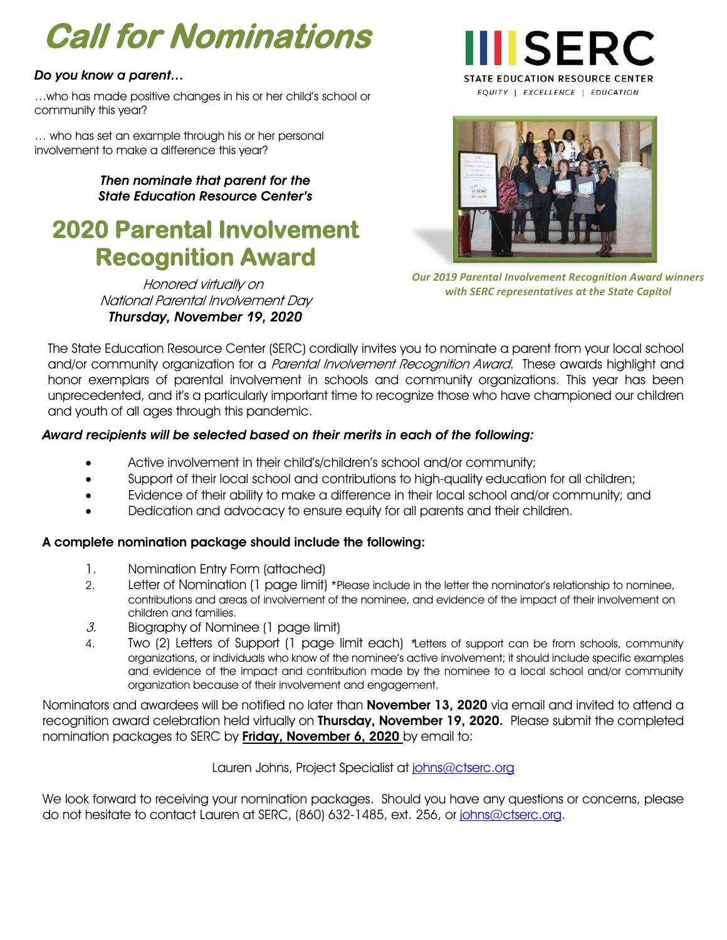# **Call for Nominations**

#### *Do you know a parent…*

…who has made positive changes in his or her child's school or community this year?

… who has set an example through his or her personal involvement to make a difference this year?

> *Then nominate that parent for the State Education Resource Center's*

## **2020 Parental Involvement Recognition Award**

Honored virtually on National Parental Involvement Day *Thursday, November 19, 2020*





*Our 2019 Parental Involvement Recognition Award winners with SERC representatives at the State Capitol*

The State Education Resource Center (SERC) cordially invites you to nominate a parent from your local school and/or community organization for a *Parental Involvement Recognition Award*. These awards highlight and honor exemplars of parental involvement in schools and community organizations. This year has been unprecedented, and it's a particularly important time to recognize those who have championed our children and youth of all ages through this pandemic.

#### *Award recipients will be selected based on their merits in each of the following:*

- Active involvement in their child's/children's school and/or community;
- Support of their local school and contributions to high-quality education for all children;
- Evidence of their ability to make a difference in their local school and/or community; and
- Dedication and advocacy to ensure equity for all parents and their children.

#### A complete nomination package should include the following:

- 1. Nomination Entry Form (attached)
- 2. Letter of Nomination (1 page limit) \*Please include in the letter the nominator's relationship to nominee, contributions and areas of involvement of the nominee, and evidence of the impact of their involvement on children and families.
- $3.$  Biography of Nominee (1 page limit)
- 4. Two (2) Letters of Support (1 page limit each) \*Letters of support can be from schools, community organizations, or individuals who know of the nominee's active involvement; it should include specific examples and evidence of the impact and contribution made by the nominee to a local school and/or community organization because of their involvement and engagement.

Nominators and awardees will be notified no later than **November 13, 2020** via email and invited to attend a recognition award celebration held virtually on Thursday, November 19, 2020. Please submit the completed nomination packages to SERC by **Friday, November 6, 2020** by email to:

Lauren Johns, Project Specialist at [johns@ctserc.org](mailto:johns@ctserc.org?subject=2017%20Parental%20Involvement%20Recognition%20Awards%20-%20NOMINATION)

We look forward to receiving your nomination packages. Should you have any questions or concerns, please do not hesitate to contact Lauren at SERC, (860) 632-1485, ext. 256, or [johns@ctserc.org.](mailto:johns@ctserc.org?subject=2017%20Parental%20Involvement%20Recognition%20Awards%20-%20NOMINATION)